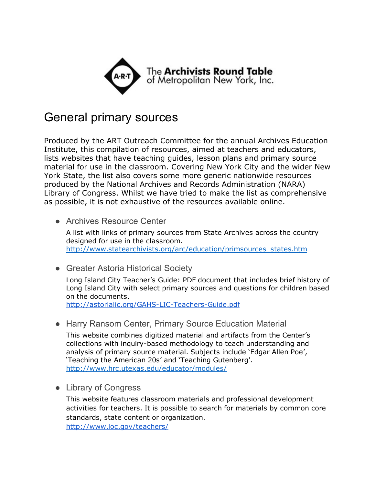

## General primary sources

Produced by the ART Outreach Committee for the annual Archives Education Institute, this compilation of resources, aimed at teachers and educators, lists websites that have teaching guides, lesson plans and primary source material for use in the classroom. Covering New York City and the wider New York State, the list also covers some more generic nationwide resources produced by the National Archives and Records Administration (NARA) Library of Congress. Whilst we have tried to make the list as comprehensive as possible, it is not exhaustive of the resources available online.

- Archives Resource Center A list with links of primary sources from State Archives across the country designed for use in the classroom. [http://www.statearchivists.org/arc/education/primsources\\_states.htm](http://www.statearchivists.org/arc/education/primsources_states.htm)
- Greater Astoria Historical Society

Long Island City Teacher's Guide: PDF document that includes brief history of Long Island City with select primary sources and questions for children based on the documents.

http://astorialic.org/GAHS-LIC-Teachers-Guide.pdf

● Harry Ransom Center, Primary Source Education Material

This website combines digitized material and artifacts from the Center's collections with inquiry-based methodology to teach understanding and analysis of primary source material. Subjects include 'Edgar Allen Poe', 'Teaching the American 20s' and 'Teaching Gutenberg'. <http://www.hrc.utexas.edu/educator/modules/>

● Library of Congress

This website features classroom materials and professional development activities for teachers. It is possible to search for materials by common core standards, state content or organization. <http://www.loc.gov/teachers/>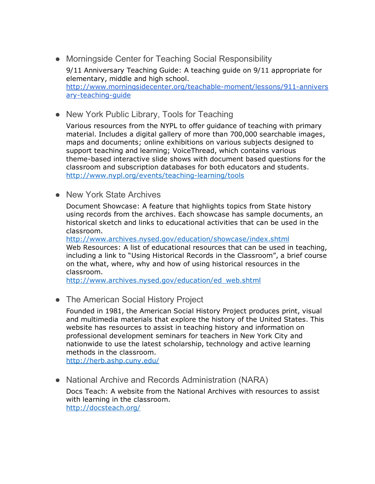- Morningside Center for Teaching Social Responsibility 9/11 Anniversary Teaching Guide: A teaching guide on 9/11 appropriate for elementary, middle and high school. http://www.morningsidecenter.org/teachable-moment/lessons/911-annivers ary-teaching-quide
- New York Public Library, Tools for Teaching

Various resources from the NYPL to offer guidance of teaching with primary material. Includes a digital gallery of more than 700,000 searchable images, maps and documents; online exhibitions on various subjects designed to support teaching and learning; VoiceThread, which contains various theme-based interactive slide shows with document based questions for the classroom and subscription databases for both educators and students. http://www.nypl.org/events/teaching-learning/tools

• New York State Archives

Document Showcase: A feature that highlights topics from State history using records from the archives. Each showcase has sample documents, an historical sketch and links to educational activities that can be used in the classroom.

<http://www.archives.nysed.gov/education/showcase/index.shtml> Web Resources: A list of educational resources that can be used in teaching, including a link to "Using Historical Records in the Classroom", a brief course on the what, where, why and how of using historical resources in the classroom.

[http://www.archives.nysed.gov/education/ed\\_web.shtml](http://www.archives.nysed.gov/education/ed_web.shtml)

• The American Social History Project

Founded in 1981, the American Social History Project produces print, visual and multimedia materials that explore the history of the United States. This website has resources to assist in teaching history and information on professional development seminars for teachers in New York City and nationwide to use the latest scholarship, technology and active learning methods in the classroom.

<http://herb.ashp.cuny.edu/>

• National Archive and Records Administration (NARA)

Docs Teach: A website from the National Archives with resources to assist with learning in the classroom. <http://docsteach.org/>